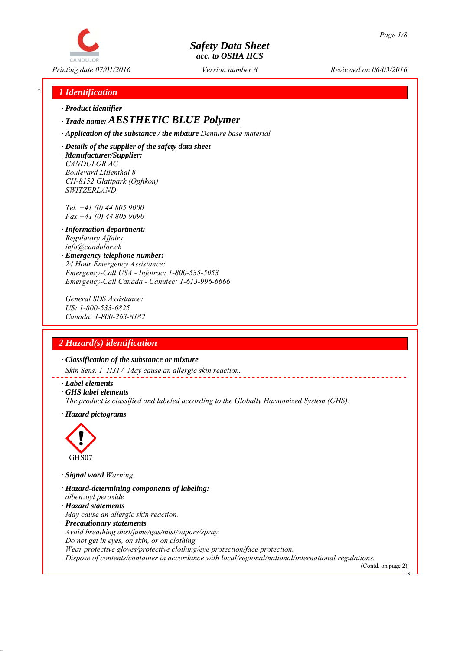

*Printing date 07/01/2016 Reviewed on 06/03/2016 Version number 8*

## *\* 1 Identification*

*∙ Product identifier*

## *∙ Trade name: AESTHETIC BLUE Polymer*

*∙ Application of the substance / the mixture Denture base material*

*∙ Details of the supplier of the safety data sheet ∙ Manufacturer/Supplier: CANDULOR AG Boulevard Lilienthal 8 CH-8152 Glattpark (Opfikon) SWITZERLAND*

*Tel. +41 (0) 44 805 9000 Fax +41 (0) 44 805 9090*

- *∙ Information department: Regulatory Affairs info@candulor.ch*
- *∙ Emergency telephone number: 24 Hour Emergency Assistance: Emergency-Call USA - Infotrac: 1-800-535-5053 Emergency-Call Canada - Canutec: 1-613-996-6666*

*General SDS Assistance: US: 1-800-533-6825 Canada: 1-800-263-8182*

# *2 Hazard(s) identification*

*∙ Classification of the substance or mixture*

*Skin Sens. 1 H317 May cause an allergic skin reaction.*

- *∙ Label elements*
- *∙ GHS label elements*
- *The product is classified and labeled according to the Globally Harmonized System (GHS).*
- *∙ Hazard pictograms*



*∙ Signal word Warning*

- *∙ Hazard-determining components of labeling:*
- *dibenzoyl peroxide*
- *∙ Hazard statements*
- *May cause an allergic skin reaction.*
- *∙ Precautionary statements*

*Avoid breathing dust/fume/gas/mist/vapors/spray*

*Do not get in eyes, on skin, or on clothing.*

*Wear protective gloves/protective clothing/eye protection/face protection.*

*Dispose of contents/container in accordance with local/regional/national/international regulations.*

(Contd. on page 2) **TR**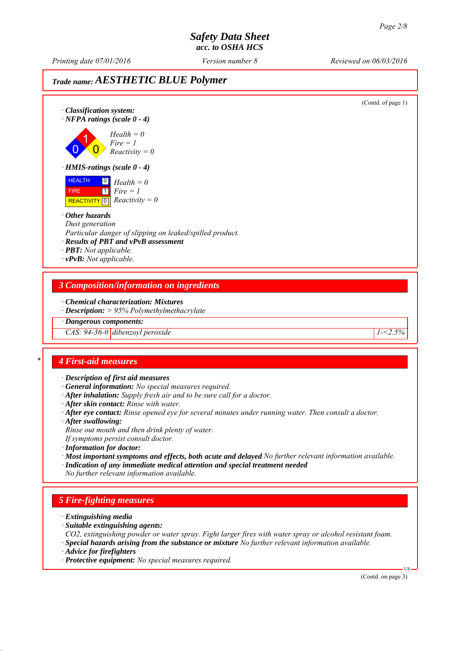*Printing date 07/01/2016 Reviewed on 06/03/2016 Version number 8*

## *Trade name: AESTHETIC BLUE Polymer*

(Contd. of page 1) *∙ Classification system: ∙ NFPA ratings (scale 0 - 4)* 0 1  $\overline{\mathbf{0}}$ *Health = 0 Fire = 1 Reactivity = 0 ∙ HMIS-ratings (scale 0 - 4)* HEALTH FIRE  $\overline{REACTIVITY \, 0}$  *Reactivity = 0* 0 *Health = 0*  $\overline{1}$ *Fire = 1 ∙ Other hazards Dust generation Particular danger of slipping on leaked/spilled product. ∙ Results of PBT and vPvB assessment ∙ PBT: Not applicable. ∙ vPvB: Not applicable. 3 Composition/information on ingredients ∙ Chemical characterization: Mixtures ∙ Description: > 95% Polymethylmethacrylate ∙ Dangerous components: CAS: 94-36-0 dibenzoyl peroxide 1-<2.5% \* 4 First-aid measures ∙ Description of first aid measures ∙ General information: No special measures required. ∙ After inhalation: Supply fresh air and to be sure call for a doctor. ∙ After skin contact: Rinse with water. ∙ After eye contact: Rinse opened eye for several minutes under running water. Then consult a doctor. ∙ After swallowing: Rinse out mouth and then drink plenty of water. If symptoms persist consult doctor. ∙ Information for doctor: ∙ Most important symptoms and effects, both acute and delayed No further relevant information available. ∙ Indication of any immediate medical attention and special treatment needed No further relevant information available. 5 Fire-fighting measures ∙ Extinguishing media ∙ Suitable extinguishing agents: CO2, extinguishing powder or water spray. Fight larger fires with water spray or alcohol resistant foam. ∙ Special hazards arising from the substance or mixture No further relevant information available. ∙ Advice for firefighters ∙ Protective equipment: No special measures required.* US (Contd. on page 3)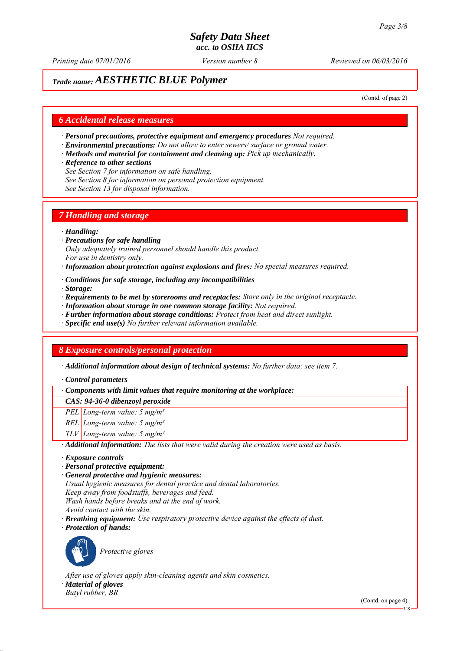*Printing date 07/01/2016 Reviewed on 06/03/2016 Version number 8*

## *Trade name: AESTHETIC BLUE Polymer*

(Contd. of page 2)

## *6 Accidental release measures*

- *∙ Personal precautions, protective equipment and emergency procedures Not required.*
- *∙ Environmental precautions: Do not allow to enter sewers/ surface or ground water.*
- *∙ Methods and material for containment and cleaning up: Pick up mechanically.*
- *∙ Reference to other sections*
- *See Section 7 for information on safe handling.*
- *See Section 8 for information on personal protection equipment.*
- *See Section 13 for disposal information.*

## *7 Handling and storage*

### *∙ Handling:*

- *∙ Precautions for safe handling Only adequately trained personnel should handle this product. For use in dentistry only.*
- *∙ Information about protection against explosions and fires: No special measures required.*
- *∙ Conditions for safe storage, including any incompatibilities*
- *∙ Storage:*
- *∙ Requirements to be met by storerooms and receptacles: Store only in the original receptacle.*
- *∙ Information about storage in one common storage facility: Not required.*
- *∙ Further information about storage conditions: Protect from heat and direct sunlight.*
- *∙ Specific end use(s) No further relevant information available.*

## *8 Exposure controls/personal protection*

*∙ Additional information about design of technical systems: No further data; see item 7.*

*∙ Control parameters*

*∙ Components with limit values that require monitoring at the workplace:*

*CAS: 94-36-0 dibenzoyl peroxide*

- *PEL Long-term value: 5 mg/m³*
- *REL Long-term value: 5 mg/m³*
- *TLV Long-term value: 5 mg/m³*

*∙ Additional information: The lists that were valid during the creation were used as basis.*

- *∙ Exposure controls*
- *∙ Personal protective equipment:*
- *∙ General protective and hygienic measures:*
- *Usual hygienic measures for dental practice and dental laboratories.*
- *Keep away from foodstuffs, beverages and feed.*
- *Wash hands before breaks and at the end of work.*
- *Avoid contact with the skin.*
- *∙ Breathing equipment: Use respiratory protective device against the effects of dust.*
- *∙ Protection of hands:*



*Protective gloves*

*After use of gloves apply skin-cleaning agents and skin cosmetics. ∙ Material of gloves Butyl rubber, BR*

(Contd. on page 4)

US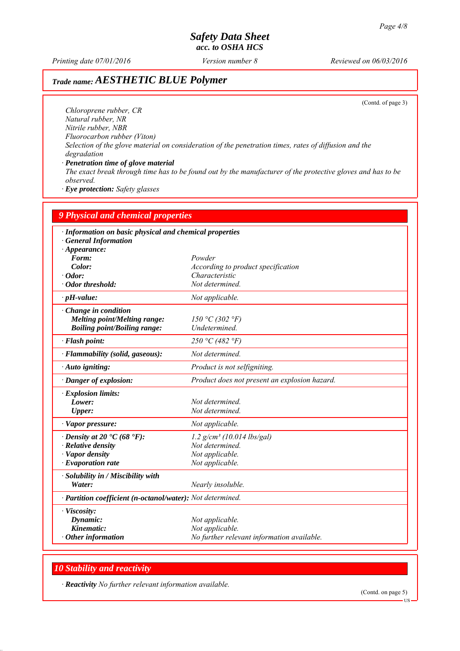*Printing date 07/01/2016 Reviewed on 06/03/2016 Version number 8*

# *Trade name: AESTHETIC BLUE Polymer*

(Contd. of page 3)

*Chloroprene rubber, CR Natural rubber, NR Nitrile rubber, NBR Fluorocarbon rubber (Viton) Selection of the glove material on consideration of the penetration times, rates of diffusion and the degradation ∙ Penetration time of glove material*

*The exact break through time has to be found out by the manufacturer of the protective gloves and has to be observed.*

*∙ Eye protection: Safety glasses*

| <b>9 Physical and chemical properties</b><br>· Information on basic physical and chemical properties<br><b>General Information</b><br>$\cdot$ Appearance: |                                                                                  |
|-----------------------------------------------------------------------------------------------------------------------------------------------------------|----------------------------------------------------------------------------------|
|                                                                                                                                                           |                                                                                  |
| Color:                                                                                                                                                    | According to product specification                                               |
| $\cdot$ Odor:                                                                                                                                             | Characteristic                                                                   |
| · Odor threshold:                                                                                                                                         | Not determined.                                                                  |
| $\cdot$ pH-value:                                                                                                                                         | Not applicable.                                                                  |
| Change in condition<br><b>Melting point/Melting range:</b><br><b>Boiling point/Boiling range:</b>                                                         | 150 °C (302 °F)<br>Undetermined.                                                 |
| · Flash point:                                                                                                                                            | 250 °C (482 °F)                                                                  |
| · Flammability (solid, gaseous):                                                                                                                          | Not determined.                                                                  |
| · Auto igniting:                                                                                                                                          | Product is not selfigniting.                                                     |
| Danger of explosion:                                                                                                                                      | Product does not present an explosion hazard.                                    |
| · Explosion limits:                                                                                                                                       |                                                                                  |
| Lower:                                                                                                                                                    | Not determined.                                                                  |
| Upper:                                                                                                                                                    | Not determined.                                                                  |
| · Vapor pressure:                                                                                                                                         | Not applicable.                                                                  |
| $\cdot$ Density at 20 $\cdot$ C (68 $\cdot$ F):                                                                                                           | $1.2$ g/cm <sup>3</sup> (10.014 lbs/gal)                                         |
| $\cdot$ Relative density                                                                                                                                  | Not determined.                                                                  |
| · Vapor density                                                                                                                                           | Not applicable.                                                                  |
| $\cdot$ Evaporation rate                                                                                                                                  | Not applicable.                                                                  |
| · Solubility in / Miscibility with<br>Water:                                                                                                              | Nearly insoluble.                                                                |
| · Partition coefficient (n-octanol/water): Not determined.                                                                                                |                                                                                  |
| · Viscosity:<br>Dynamic:<br>Kinematic:<br>$\cdot$ Other information                                                                                       | Not applicable.<br>Not applicable.<br>No further relevant information available. |

## *10 Stability and reactivity*

*∙ Reactivity No further relevant information available.*

(Contd. on page 5)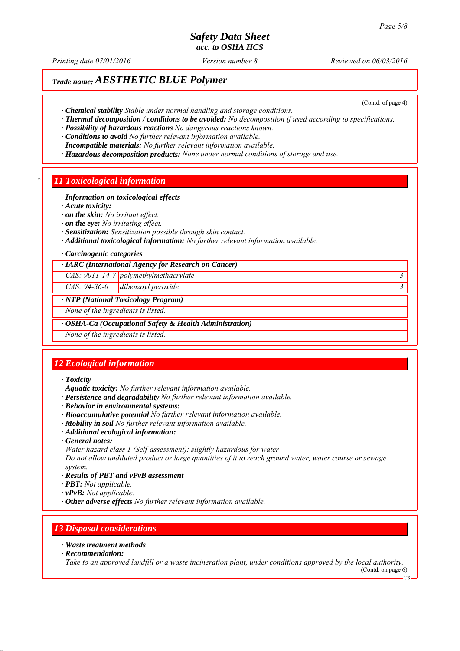*Printing date 07/01/2016 Reviewed on 06/03/2016 Version number 8*

(Contd. of page 4)

# *Trade name: AESTHETIC BLUE Polymer*

*∙ Chemical stability Stable under normal handling and storage conditions.*

- *∙ Thermal decomposition / conditions to be avoided: No decomposition if used according to specifications.*
- *∙ Possibility of hazardous reactions No dangerous reactions known.*

*∙ Conditions to avoid No further relevant information available.*

- *∙ Incompatible materials: No further relevant information available.*
- *∙ Hazardous decomposition products: None under normal conditions of storage and use.*

## *\* 11 Toxicological information*

#### *∙ Information on toxicological effects*

*∙ Acute toxicity:*

- *∙ on the skin: No irritant effect.*
- *∙ on the eye: No irritating effect.*
- *∙ Sensitization: Sensitization possible through skin contact.*
- *∙ Additional toxicological information: No further relevant information available.*

#### *∙ Carcinogenic categories*

*∙ IARC (International Agency for Research on Cancer)*

*CAS: 9011-14-7 polymethylmethacrylate 3* 

*CAS: 94-36-0 dibenzoyl peroxide 3* 

### *∙ NTP (National Toxicology Program)*

*None of the ingredients is listed.*

*∙ OSHA-Ca (Occupational Safety & Health Administration)*

*None of the ingredients is listed.*

## *12 Ecological information*

#### *∙ Toxicity*

- *∙ Aquatic toxicity: No further relevant information available.*
- *∙ Persistence and degradability No further relevant information available.*
- *∙ Behavior in environmental systems:*
- *∙ Bioaccumulative potential No further relevant information available.*
- *∙ Mobility in soil No further relevant information available.*
- *∙ Additional ecological information:*
- *∙ General notes:*

*Water hazard class 1 (Self-assessment): slightly hazardous for water*

*Do not allow undiluted product or large quantities of it to reach ground water, water course or sewage system.*

- *∙ Results of PBT and vPvB assessment*
- *∙ PBT: Not applicable.*
- *∙ vPvB: Not applicable.*
- *∙ Other adverse effects No further relevant information available.*

## *13 Disposal considerations*

- *∙ Waste treatment methods*
- *∙ Recommendation:*

*Take to an approved landfill or a waste incineration plant, under conditions approved by the local authority.*

(Contd. on page 6) US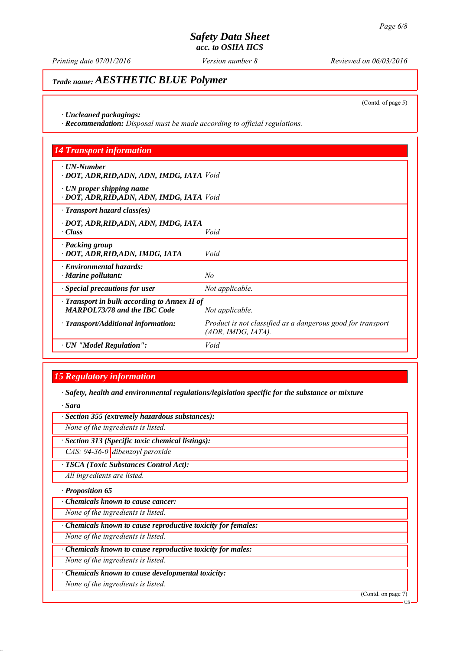*Printing date 07/01/2016 Reviewed on 06/03/2016 Version number 8*

# *Trade name: AESTHETIC BLUE Polymer*

(Contd. of page 5)

*∙ Uncleaned packagings:*

*∙ Recommendation: Disposal must be made according to official regulations.*

| <b>14 Transport information</b>                                                           |                                                                                   |
|-------------------------------------------------------------------------------------------|-----------------------------------------------------------------------------------|
| $\cdot$ UN-Number<br>· DOT, ADR, RID, ADN, ADN, IMDG, IATA Void                           |                                                                                   |
| $\cdot$ UN proper shipping name<br>· DOT, ADR, RID, ADN, ADN, IMDG, IATA Void             |                                                                                   |
| $\cdot$ Transport hazard class(es)                                                        |                                                                                   |
| · DOT, ADR, RID, ADN, ADN, IMDG, IATA<br>$\cdot Class$                                    | Void                                                                              |
| · Packing group<br>· DOT, ADR, RID, ADN, IMDG, IATA                                       | Void                                                                              |
| · Environmental hazards:<br>$\cdot$ Marine pollutant:                                     | No                                                                                |
| · Special precautions for user                                                            | Not applicable.                                                                   |
| $\cdot$ Transport in bulk according to Annex II of<br><b>MARPOL73/78 and the IBC Code</b> | Not applicable.                                                                   |
| $\cdot$ Transport/Additional information:                                                 | Product is not classified as a dangerous good for transport<br>(ADR, IMDG, IATA). |
| · UN "Model Regulation":                                                                  | Void                                                                              |

# *15 Regulatory information*

*∙ Safety, health and environmental regulations/legislation specific for the substance or mixture*

*∙ Sara*

*∙ Section 355 (extremely hazardous substances):*

*None of the ingredients is listed.*

*∙ Section 313 (Specific toxic chemical listings):*

*CAS: 94-36-0 dibenzoyl peroxide*

*∙ TSCA (Toxic Substances Control Act):*

*All ingredients are listed.*

*∙ Proposition 65*

*∙ Chemicals known to cause cancer:*

*None of the ingredients is listed.*

*∙ Chemicals known to cause reproductive toxicity for females:*

*None of the ingredients is listed.*

*∙ Chemicals known to cause reproductive toxicity for males:*

*None of the ingredients is listed.*

*∙ Chemicals known to cause developmental toxicity:*

*None of the ingredients is listed.*

(Contd. on page 7)

US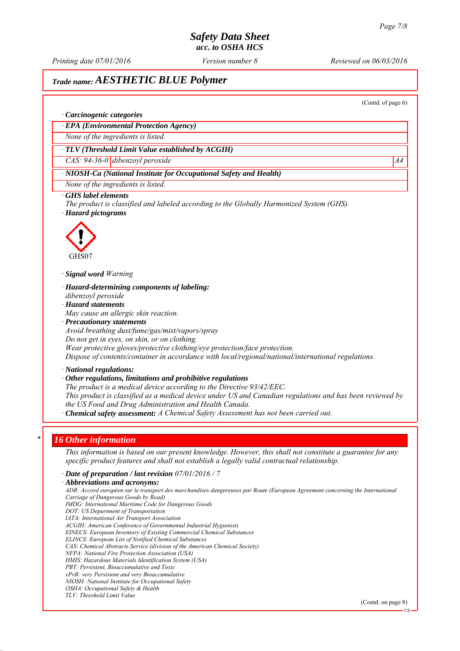*Printing date 07/01/2016 Reviewed on 06/03/2016 Version number 8*

# *Trade name: AESTHETIC BLUE Polymer*

(Contd. of page 6)

### *∙ Carcinogenic categories*

*∙ EPA (Environmental Protection Agency)*

*None of the ingredients is listed.*

## *∙ TLV (Threshold Limit Value established by ACGIH)*

*CAS: 94-36-0 dibenzoyl peroxide* A4

## *∙ NIOSH-Ca (National Institute for Occupational Safety and Health)*

*None of the ingredients is listed.*

### *∙ GHS label elements*

*The product is classified and labeled according to the Globally Harmonized System (GHS). ∙ Hazard pictograms*



*∙ Signal word Warning*

- *∙ Hazard-determining components of labeling: dibenzoyl peroxide*
- *∙ Hazard statements*
- *May cause an allergic skin reaction.*
- *∙ Precautionary statements*
- *Avoid breathing dust/fume/gas/mist/vapors/spray*
- *Do not get in eyes, on skin, or on clothing.*
- *Wear protective gloves/protective clothing/eye protection/face protection.*

*Dispose of contents/container in accordance with local/regional/national/international regulations.*

*∙ National regulations:*

#### *∙ Other regulations, limitations and prohibitive regulations*

*The product is a medical device according to the Directive 93/42/EEC.*

*This product is classified as a medical device under US and Canadian regulations and has been reviewed by the US Food and Drug Administration and Health Canada.*

*∙ Chemical safety assessment: A Chemical Safety Assessment has not been carried out.*

## *\* 16 Other information*

*This information is based on our present knowledge. However, this shall not constitute a guarantee for any specific product features and shall not establish a legally valid contractual relationship.*

*∙ Date of preparation / last revision 07/01/2016 / 7*

*∙ Abbreviations and acronyms:*

*ADR: Accord européen sur le transport des marchandises dangereuses par Route (European Agreement concerning the International Carriage of Dangerous Goods by Road) IMDG: International Maritime Code for Dangerous Goods DOT: US Department of Transportation IATA: International Air Transport Association ACGIH: American Conference of Governmental Industrial Hygienists EINECS: European Inventory of Existing Commercial Chemical Substances ELINCS: European List of Notified Chemical Substances CAS: Chemical Abstracts Service (division of the American Chemical Society) NFPA: National Fire Protection Association (USA) HMIS: Hazardous Materials Identification System (USA) PBT: Persistent, Bioaccumulative and Toxic vPvB: very Persistent and very Bioaccumulative NIOSH: National Institute for Occupational Safety OSHA: Occupational Safety & Health TLV: Threshold Limit Value*

(Contd. on page 8)